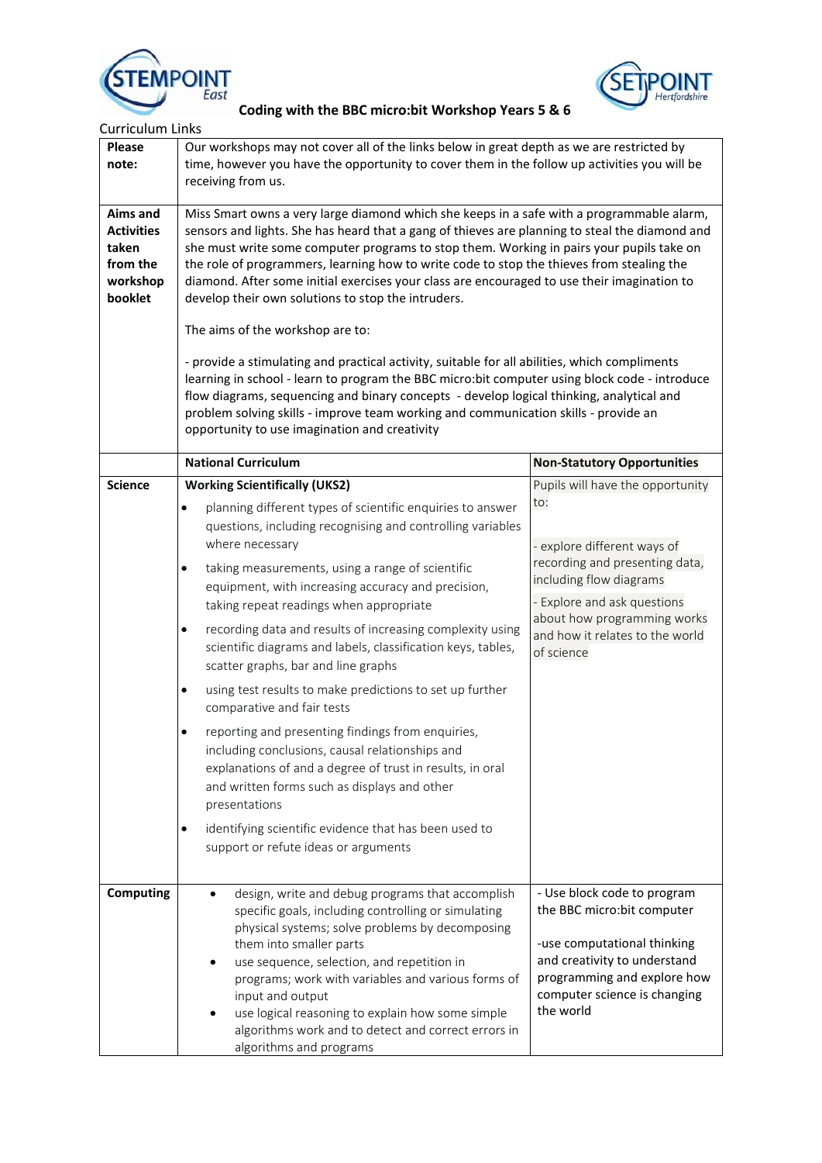



| <b>Curriculum Links</b>                                                   |                                                                                                                                                                                                                                                                                                                                                                                                                                                                                                                                                                                                                                                                                                                                                                                                                                                                                                                                                                                                                     |                                                                                                                                                                                                                                                    |  |
|---------------------------------------------------------------------------|---------------------------------------------------------------------------------------------------------------------------------------------------------------------------------------------------------------------------------------------------------------------------------------------------------------------------------------------------------------------------------------------------------------------------------------------------------------------------------------------------------------------------------------------------------------------------------------------------------------------------------------------------------------------------------------------------------------------------------------------------------------------------------------------------------------------------------------------------------------------------------------------------------------------------------------------------------------------------------------------------------------------|----------------------------------------------------------------------------------------------------------------------------------------------------------------------------------------------------------------------------------------------------|--|
| <b>Please</b><br>note:                                                    | Our workshops may not cover all of the links below in great depth as we are restricted by<br>time, however you have the opportunity to cover them in the follow up activities you will be<br>receiving from us.                                                                                                                                                                                                                                                                                                                                                                                                                                                                                                                                                                                                                                                                                                                                                                                                     |                                                                                                                                                                                                                                                    |  |
| Aims and<br><b>Activities</b><br>taken<br>from the<br>workshop<br>booklet | Miss Smart owns a very large diamond which she keeps in a safe with a programmable alarm,<br>sensors and lights. She has heard that a gang of thieves are planning to steal the diamond and<br>she must write some computer programs to stop them. Working in pairs your pupils take on<br>the role of programmers, learning how to write code to stop the thieves from stealing the<br>diamond. After some initial exercises your class are encouraged to use their imagination to<br>develop their own solutions to stop the intruders.<br>The aims of the workshop are to:<br>- provide a stimulating and practical activity, suitable for all abilities, which compliments<br>learning in school - learn to program the BBC micro:bit computer using block code - introduce<br>flow diagrams, sequencing and binary concepts - develop logical thinking, analytical and<br>problem solving skills - improve team working and communication skills - provide an<br>opportunity to use imagination and creativity |                                                                                                                                                                                                                                                    |  |
|                                                                           | <b>National Curriculum</b>                                                                                                                                                                                                                                                                                                                                                                                                                                                                                                                                                                                                                                                                                                                                                                                                                                                                                                                                                                                          | <b>Non-Statutory Opportunities</b>                                                                                                                                                                                                                 |  |
| <b>Science</b>                                                            | <b>Working Scientifically (UKS2)</b><br>planning different types of scientific enquiries to answer<br>$\bullet$<br>questions, including recognising and controlling variables<br>where necessary<br>taking measurements, using a range of scientific<br>$\bullet$<br>equipment, with increasing accuracy and precision,<br>taking repeat readings when appropriate<br>recording data and results of increasing complexity using<br>scientific diagrams and labels, classification keys, tables,<br>scatter graphs, bar and line graphs<br>using test results to make predictions to set up further<br>$\bullet$<br>comparative and fair tests<br>reporting and presenting findings from enquiries,<br>including conclusions, causal relationships and<br>explanations of and a degree of trust in results, in oral<br>and written forms such as displays and other<br>presentations<br>identifying scientific evidence that has been used to<br>$\bullet$<br>support or refute ideas or arguments                   | Pupils will have the opportunity<br>to:<br>- explore different ways of<br>recording and presenting data,<br>including flow diagrams<br>- Explore and ask questions<br>about how programming works<br>and how it relates to the world<br>of science |  |
| Computing                                                                 | design, write and debug programs that accomplish<br>specific goals, including controlling or simulating<br>physical systems; solve problems by decomposing<br>them into smaller parts<br>use sequence, selection, and repetition in<br>programs; work with variables and various forms of<br>input and output<br>use logical reasoning to explain how some simple<br>algorithms work and to detect and correct errors in<br>algorithms and programs                                                                                                                                                                                                                                                                                                                                                                                                                                                                                                                                                                 | - Use block code to program<br>the BBC micro:bit computer<br>-use computational thinking<br>and creativity to understand<br>programming and explore how<br>computer science is changing<br>the world                                               |  |